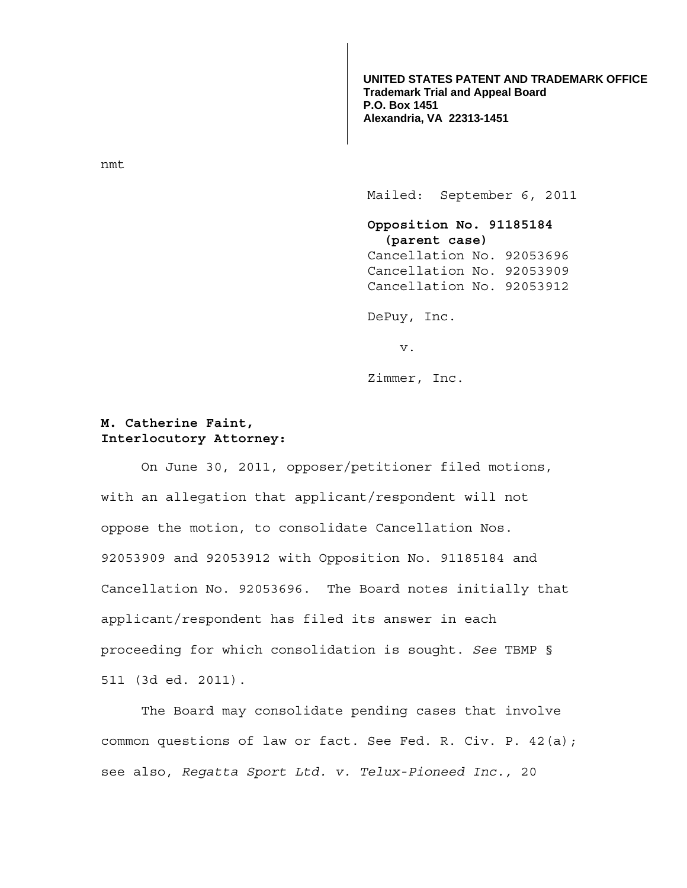**UNITED STATES PATENT AND TRADEMARK OFFICE Trademark Trial and Appeal Board P.O. Box 1451 Alexandria, VA 22313-1451**

nmt

Mailed: September 6, 2011

 **Opposition No. 91185184 (parent case)**  Cancellation No. 92053696 Cancellation No. 92053909 Cancellation No. 92053912

DePuy, Inc.

v.

Zimmer, Inc.

## **M. Catherine Faint, Interlocutory Attorney:**

On June 30, 2011, opposer/petitioner filed motions, with an allegation that applicant/respondent will not oppose the motion, to consolidate Cancellation Nos. 92053909 and 92053912 with Opposition No. 91185184 and Cancellation No. 92053696. The Board notes initially that applicant/respondent has filed its answer in each proceeding for which consolidation is sought. *See* TBMP § 511 (3d ed. 2011).

 The Board may consolidate pending cases that involve common questions of law or fact. See Fed. R. Civ. P. 42(a); see also, *Regatta Sport Ltd. v. Telux-Pioneed Inc.,* 20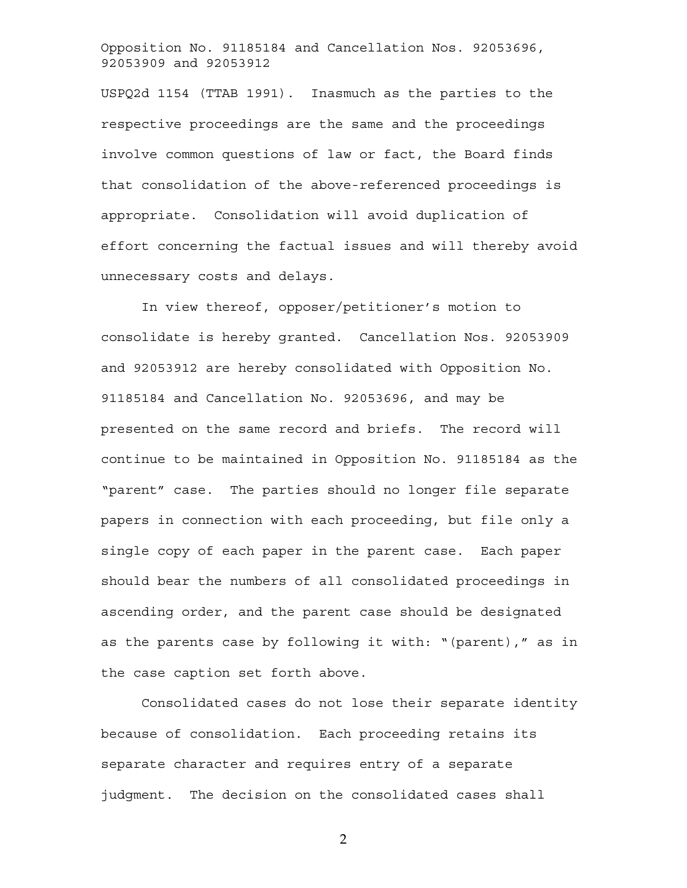Opposition No. 91185184 and Cancellation Nos. 92053696, 92053909 and 92053912

USPQ2d 1154 (TTAB 1991). Inasmuch as the parties to the respective proceedings are the same and the proceedings involve common questions of law or fact, the Board finds that consolidation of the above-referenced proceedings is appropriate. Consolidation will avoid duplication of effort concerning the factual issues and will thereby avoid unnecessary costs and delays.

 In view thereof, opposer/petitioner's motion to consolidate is hereby granted. Cancellation Nos. 92053909 and 92053912 are hereby consolidated with Opposition No. 91185184 and Cancellation No. 92053696, and may be presented on the same record and briefs. The record will continue to be maintained in Opposition No. 91185184 as the "parent" case. The parties should no longer file separate papers in connection with each proceeding, but file only a single copy of each paper in the parent case. Each paper should bear the numbers of all consolidated proceedings in ascending order, and the parent case should be designated as the parents case by following it with: "(parent)," as in the case caption set forth above.

 Consolidated cases do not lose their separate identity because of consolidation. Each proceeding retains its separate character and requires entry of a separate judgment. The decision on the consolidated cases shall

2